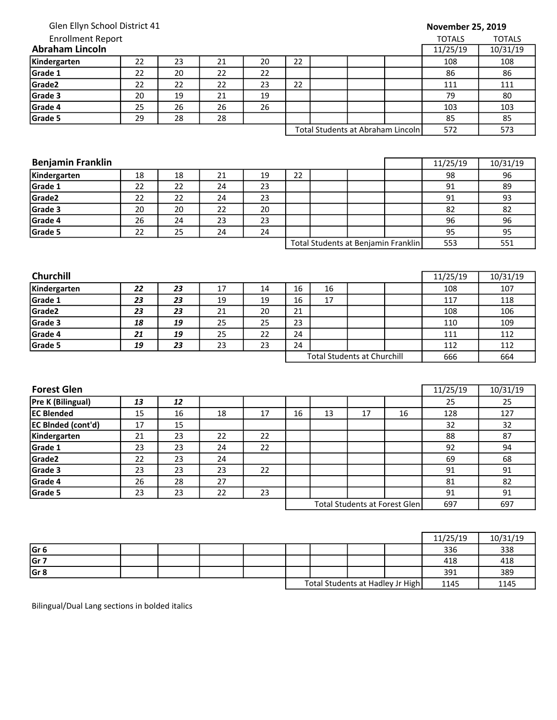| Glen Ellyn School District 41 |
|-------------------------------|
|-------------------------------|

## Enrollment Report

## November 25, 2019

| <b>Enrollment Report</b> |          |          |    |    |    |  |                                   | <b>TOTALS</b> | <b>TOTALS</b> |
|--------------------------|----------|----------|----|----|----|--|-----------------------------------|---------------|---------------|
| <b>Abraham Lincoln</b>   | 11/25/19 | 10/31/19 |    |    |    |  |                                   |               |               |
| Kindergarten             | 22       | 23       | 21 | 20 | 22 |  |                                   | 108           | 108           |
| Grade 1                  | 22       | 20       | 22 | 22 |    |  |                                   | 86            | 86            |
| Grade <sub>2</sub>       | 22       | 22       | 22 | 23 | 22 |  |                                   | 111           | 111           |
| Grade 3                  | 20       | 19       | 21 | 19 |    |  |                                   | 79            | 80            |
| Grade 4                  | 25       | 26       | 26 | 26 |    |  |                                   | 103           | 103           |
| Grade 5                  | 29       | 28       | 28 |    |    |  |                                   | 85            | 85            |
|                          |          |          |    |    |    |  | Total Students at Abraham Lincoln | 572           | 573           |

| <b>Benjamin Franklin</b> | 11/25/19 | 10/31/19 |    |    |    |                                     |     |     |
|--------------------------|----------|----------|----|----|----|-------------------------------------|-----|-----|
| Kindergarten             | 18       | 18       | 21 | 19 | 22 |                                     | 98  | 96  |
| Grade 1                  | 22       | 22       | 24 | 23 |    |                                     | 91  | 89  |
| Grade <sub>2</sub>       | 22       | 22       | 24 | 23 |    |                                     | 91  | 93  |
| Grade 3                  | 20       | 20       | 22 | 20 |    |                                     | 82  | 82  |
| Grade 4                  | 26       | 24       | 23 | 23 |    |                                     | 96  | 96  |
| Grade 5                  | 22       | 25       | 24 | 24 |    |                                     | 95  | 95  |
|                          |          |          |    |    |    | Total Students at Benjamin Franklin | 553 | 551 |

| <b>Churchill</b>   |    |    |    |    |    |    |                                    |     | 11/25/19 | 10/31/19 |
|--------------------|----|----|----|----|----|----|------------------------------------|-----|----------|----------|
| Kindergarten       | 22 | 23 | 17 | 14 | 16 | 16 |                                    |     | 108      | 107      |
| Grade 1            | 23 | 23 | 19 | 19 | 16 | 17 |                                    |     | 117      | 118      |
| Grade <sub>2</sub> | 23 | 23 | 21 | 20 | 21 |    |                                    |     | 108      | 106      |
| Grade 3            | 18 | 19 | 25 | 25 | 23 |    |                                    |     | 110      | 109      |
| Grade 4            | 21 | 19 | 25 | 22 | 24 |    |                                    |     | 111      | 112      |
| Grade 5            | 19 | 23 | 23 | 23 | 24 |    |                                    |     | 112      | 112      |
|                    |    |    |    |    |    |    | <b>Total Students at Churchill</b> | 666 | 664      |          |

| <b>Forest Glen</b>        |    |    |    |    |    |    |                               |     | 11/25/19 | 10/31/19 |
|---------------------------|----|----|----|----|----|----|-------------------------------|-----|----------|----------|
| Pre K (Bilingual)         | 13 | 12 |    |    |    |    |                               |     | 25       | 25       |
| <b>IEC Blended</b>        | 15 | 16 | 18 | 17 | 16 | 13 | 17                            | 16  | 128      | 127      |
| <b>EC BInded (cont'd)</b> | 17 | 15 |    |    |    |    |                               |     | 32       | 32       |
| Kindergarten              | 21 | 23 | 22 | 22 |    |    |                               |     | 88       | 87       |
| Grade 1                   | 23 | 23 | 24 | 22 |    |    |                               |     | 92       | 94       |
| Grade2                    | 22 | 23 | 24 |    |    |    |                               |     | 69       | 68       |
| Grade 3                   | 23 | 23 | 23 | 22 |    |    |                               |     | 91       | 91       |
| Grade 4                   | 26 | 28 | 27 |    |    |    |                               |     | 81       | 82       |
| Grade 5                   | 23 | 23 | 22 | 23 |    |    |                               |     | 91       | 91       |
|                           |    |    |    |    |    |    | Total Students at Forest Glen | 697 | 697      |          |

|                 |  |  |  |                                  | 11/25/19 | 10/31/19 |
|-----------------|--|--|--|----------------------------------|----------|----------|
| Gr <sub>6</sub> |  |  |  |                                  | 336      | 338      |
| Gr 7            |  |  |  |                                  | 418      | 418      |
| Gr <sub>8</sub> |  |  |  |                                  | 391      | 389      |
|                 |  |  |  | Total Students at Hadley Jr High | 1145     | 1145     |

Bilingual/Dual Lang sections in bolded italics